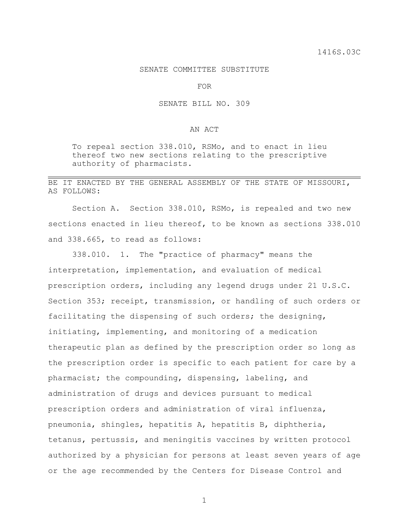## SENATE COMMITTEE SUBSTITUTE

FOR

## SENATE BILL NO. 309

## AN ACT

To repeal section 338.010, RSMo, and to enact in lieu thereof two new sections relating to the prescriptive authority of pharmacists.

## BE IT ENACTED BY THE GENERAL ASSEMBLY OF THE STATE OF MISSOURI, AS FOLLOWS:

Section A. Section 338.010, RSMo, is repealed and two new sections enacted in lieu thereof, to be known as sections 338.010 and 338.665, to read as follows:

338.010. 1. The "practice of pharmacy" means the interpretation, implementation, and evaluation of medical prescription orders, including any legend drugs under 21 U.S.C. Section 353; receipt, transmission, or handling of such orders or facilitating the dispensing of such orders; the designing, initiating, implementing, and monitoring of a medication therapeutic plan as defined by the prescription order so long as the prescription order is specific to each patient for care by a pharmacist; the compounding, dispensing, labeling, and administration of drugs and devices pursuant to medical prescription orders and administration of viral influenza, pneumonia, shingles, hepatitis A, hepatitis B, diphtheria, tetanus, pertussis, and meningitis vaccines by written protocol authorized by a physician for persons at least seven years of age or the age recommended by the Centers for Disease Control and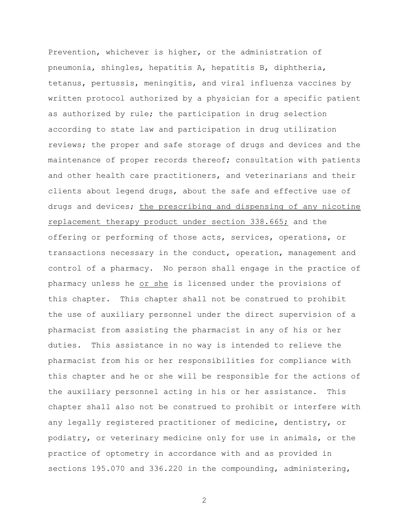Prevention, whichever is higher, or the administration of pneumonia, shingles, hepatitis A, hepatitis B, diphtheria, tetanus, pertussis, meningitis, and viral influenza vaccines by written protocol authorized by a physician for a specific patient as authorized by rule; the participation in drug selection according to state law and participation in drug utilization reviews; the proper and safe storage of drugs and devices and the maintenance of proper records thereof; consultation with patients and other health care practitioners, and veterinarians and their clients about legend drugs, about the safe and effective use of drugs and devices; the prescribing and dispensing of any nicotine replacement therapy product under section 338.665; and the offering or performing of those acts, services, operations, or transactions necessary in the conduct, operation, management and control of a pharmacy. No person shall engage in the practice of pharmacy unless he or she is licensed under the provisions of this chapter. This chapter shall not be construed to prohibit the use of auxiliary personnel under the direct supervision of a pharmacist from assisting the pharmacist in any of his or her duties. This assistance in no way is intended to relieve the pharmacist from his or her responsibilities for compliance with this chapter and he or she will be responsible for the actions of the auxiliary personnel acting in his or her assistance. This chapter shall also not be construed to prohibit or interfere with any legally registered practitioner of medicine, dentistry, or podiatry, or veterinary medicine only for use in animals, or the practice of optometry in accordance with and as provided in sections 195.070 and 336.220 in the compounding, administering,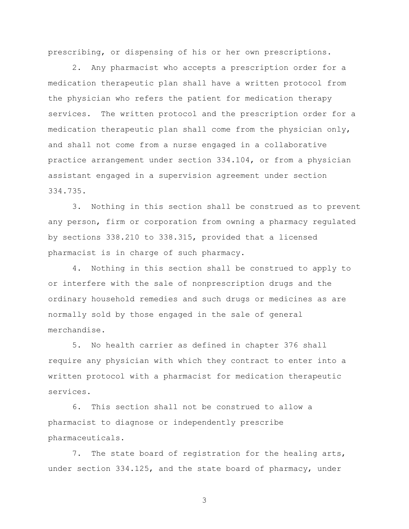prescribing, or dispensing of his or her own prescriptions.

2. Any pharmacist who accepts a prescription order for a medication therapeutic plan shall have a written protocol from the physician who refers the patient for medication therapy services. The written protocol and the prescription order for a medication therapeutic plan shall come from the physician only, and shall not come from a nurse engaged in a collaborative practice arrangement under section 334.104, or from a physician assistant engaged in a supervision agreement under section 334.735.

3. Nothing in this section shall be construed as to prevent any person, firm or corporation from owning a pharmacy regulated by sections 338.210 to 338.315, provided that a licensed pharmacist is in charge of such pharmacy.

4. Nothing in this section shall be construed to apply to or interfere with the sale of nonprescription drugs and the ordinary household remedies and such drugs or medicines as are normally sold by those engaged in the sale of general merchandise.

5. No health carrier as defined in chapter 376 shall require any physician with which they contract to enter into a written protocol with a pharmacist for medication therapeutic services.

6. This section shall not be construed to allow a pharmacist to diagnose or independently prescribe pharmaceuticals.

7. The state board of registration for the healing arts, under section 334.125, and the state board of pharmacy, under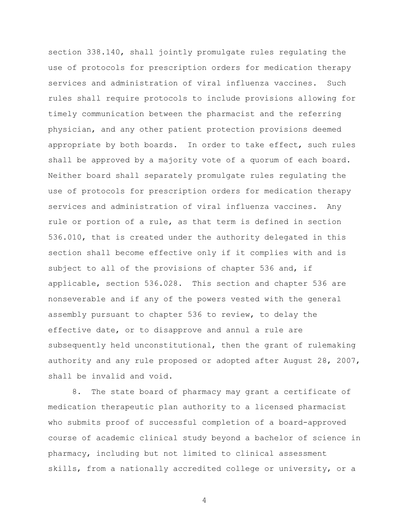section 338.140, shall jointly promulgate rules regulating the use of protocols for prescription orders for medication therapy services and administration of viral influenza vaccines. Such rules shall require protocols to include provisions allowing for timely communication between the pharmacist and the referring physician, and any other patient protection provisions deemed appropriate by both boards. In order to take effect, such rules shall be approved by a majority vote of a quorum of each board. Neither board shall separately promulgate rules regulating the use of protocols for prescription orders for medication therapy services and administration of viral influenza vaccines. Any rule or portion of a rule, as that term is defined in section 536.010, that is created under the authority delegated in this section shall become effective only if it complies with and is subject to all of the provisions of chapter 536 and, if applicable, section 536.028. This section and chapter 536 are nonseverable and if any of the powers vested with the general assembly pursuant to chapter 536 to review, to delay the effective date, or to disapprove and annul a rule are subsequently held unconstitutional, then the grant of rulemaking authority and any rule proposed or adopted after August 28, 2007, shall be invalid and void.

8. The state board of pharmacy may grant a certificate of medication therapeutic plan authority to a licensed pharmacist who submits proof of successful completion of a board-approved course of academic clinical study beyond a bachelor of science in pharmacy, including but not limited to clinical assessment skills, from a nationally accredited college or university, or a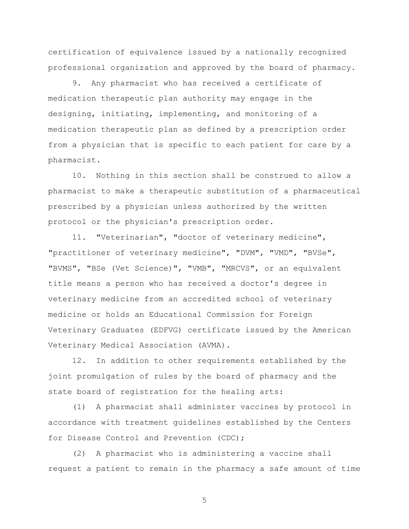certification of equivalence issued by a nationally recognized professional organization and approved by the board of pharmacy.

9. Any pharmacist who has received a certificate of medication therapeutic plan authority may engage in the designing, initiating, implementing, and monitoring of a medication therapeutic plan as defined by a prescription order from a physician that is specific to each patient for care by a pharmacist.

10. Nothing in this section shall be construed to allow a pharmacist to make a therapeutic substitution of a pharmaceutical prescribed by a physician unless authorized by the written protocol or the physician's prescription order.

11. "Veterinarian", "doctor of veterinary medicine", "practitioner of veterinary medicine", "DVM", "VMD", "BVSe", "BVMS", "BSe (Vet Science)", "VMB", "MRCVS", or an equivalent title means a person who has received a doctor's degree in veterinary medicine from an accredited school of veterinary medicine or holds an Educational Commission for Foreign Veterinary Graduates (EDFVG) certificate issued by the American Veterinary Medical Association (AVMA).

12. In addition to other requirements established by the joint promulgation of rules by the board of pharmacy and the state board of registration for the healing arts:

(1) A pharmacist shall administer vaccines by protocol in accordance with treatment guidelines established by the Centers for Disease Control and Prevention (CDC);

(2) A pharmacist who is administering a vaccine shall request a patient to remain in the pharmacy a safe amount of time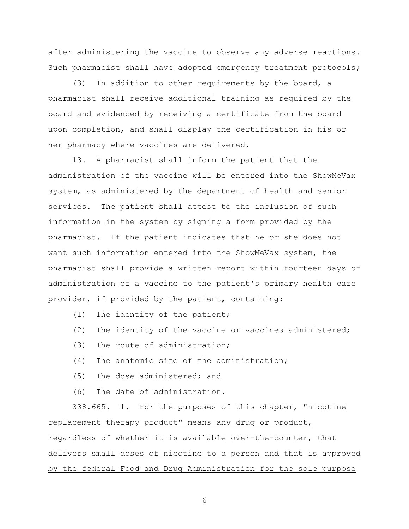after administering the vaccine to observe any adverse reactions. Such pharmacist shall have adopted emergency treatment protocols;

(3) In addition to other requirements by the board, a pharmacist shall receive additional training as required by the board and evidenced by receiving a certificate from the board upon completion, and shall display the certification in his or her pharmacy where vaccines are delivered.

13. A pharmacist shall inform the patient that the administration of the vaccine will be entered into the ShowMeVax system, as administered by the department of health and senior services. The patient shall attest to the inclusion of such information in the system by signing a form provided by the pharmacist. If the patient indicates that he or she does not want such information entered into the ShowMeVax system, the pharmacist shall provide a written report within fourteen days of administration of a vaccine to the patient's primary health care provider, if provided by the patient, containing:

- (1) The identity of the patient;
- (2) The identity of the vaccine or vaccines administered;
- (3) The route of administration;
- (4) The anatomic site of the administration;
- (5) The dose administered; and
- (6) The date of administration.

338.665. 1. For the purposes of this chapter, "nicotine replacement therapy product" means any drug or product, regardless of whether it is available over-the-counter, that delivers small doses of nicotine to a person and that is approved by the federal Food and Drug Administration for the sole purpose